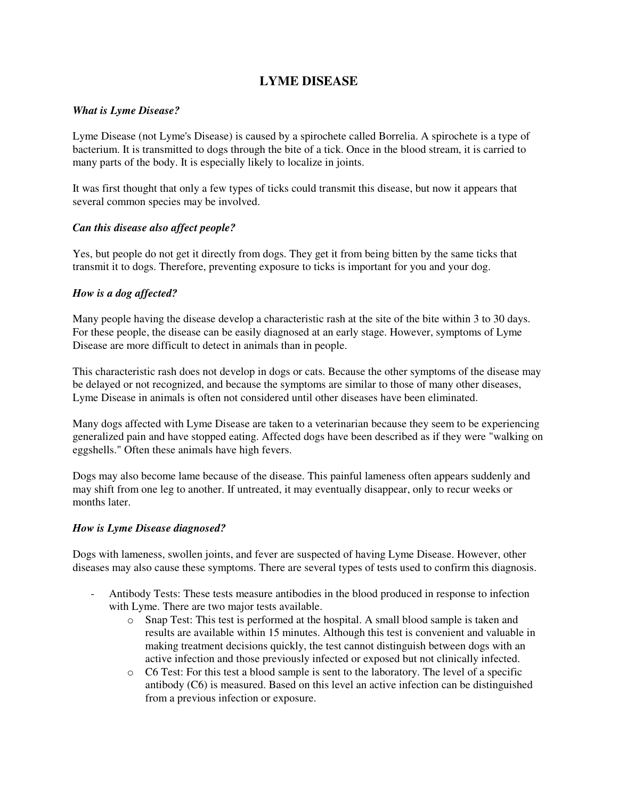# **LYME DISEASE**

#### *What is Lyme Disease?*

Lyme Disease (not Lyme's Disease) is caused by a spirochete called Borrelia. A spirochete is a type of bacterium. It is transmitted to dogs through the bite of a tick. Once in the blood stream, it is carried to many parts of the body. It is especially likely to localize in joints.

It was first thought that only a few types of ticks could transmit this disease, but now it appears that several common species may be involved.

#### *Can this disease also affect people?*

Yes, but people do not get it directly from dogs. They get it from being bitten by the same ticks that transmit it to dogs. Therefore, preventing exposure to ticks is important for you and your dog.

## *How is a dog affected?*

Many people having the disease develop a characteristic rash at the site of the bite within 3 to 30 days. For these people, the disease can be easily diagnosed at an early stage. However, symptoms of Lyme Disease are more difficult to detect in animals than in people.

This characteristic rash does not develop in dogs or cats. Because the other symptoms of the disease may be delayed or not recognized, and because the symptoms are similar to those of many other diseases, Lyme Disease in animals is often not considered until other diseases have been eliminated.

Many dogs affected with Lyme Disease are taken to a veterinarian because they seem to be experiencing generalized pain and have stopped eating. Affected dogs have been described as if they were "walking on eggshells." Often these animals have high fevers.

Dogs may also become lame because of the disease. This painful lameness often appears suddenly and may shift from one leg to another. If untreated, it may eventually disappear, only to recur weeks or months later

#### *How is Lyme Disease diagnosed?*

Dogs with lameness, swollen joints, and fever are suspected of having Lyme Disease. However, other diseases may also cause these symptoms. There are several types of tests used to confirm this diagnosis.

- Antibody Tests: These tests measure antibodies in the blood produced in response to infection with Lyme. There are two major tests available.
	- o Snap Test: This test is performed at the hospital. A small blood sample is taken and results are available within 15 minutes. Although this test is convenient and valuable in making treatment decisions quickly, the test cannot distinguish between dogs with an active infection and those previously infected or exposed but not clinically infected.
	- o C6 Test: For this test a blood sample is sent to the laboratory. The level of a specific antibody (C6) is measured. Based on this level an active infection can be distinguished from a previous infection or exposure.